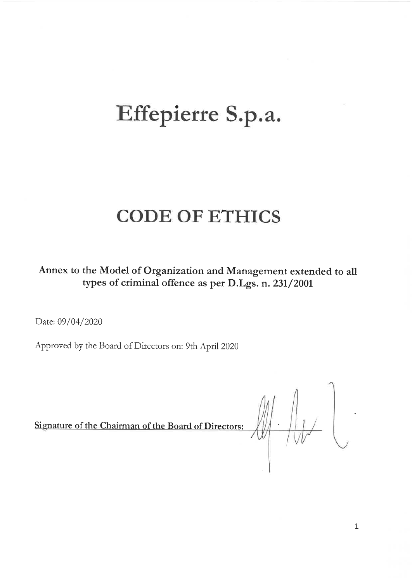# Effepierre S.p.a.

# **CODE OF ETHICS**

Annex to the Model of Organization and Management extended to all types of criminal offence as per D.Lgs. n. 231/2001

Date: 09/04/2020

Approved by the Board of Directors on: 9th April 2020

Signature of the Chairman of the Board of Directors:

 $\text{min}$ 

 $\mathbf{1}$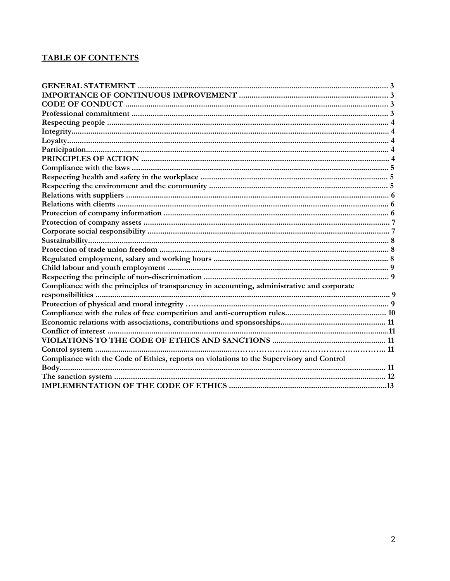# **TABLE OF CONTENTS**

| Compliance with the principles of transparency in accounting, administrative and corporate |  |
|--------------------------------------------------------------------------------------------|--|
|                                                                                            |  |
|                                                                                            |  |
|                                                                                            |  |
|                                                                                            |  |
|                                                                                            |  |
|                                                                                            |  |
|                                                                                            |  |
| Compliance with the Code of Ethics, reports on violations to the Supervisory and Control   |  |
|                                                                                            |  |
|                                                                                            |  |
|                                                                                            |  |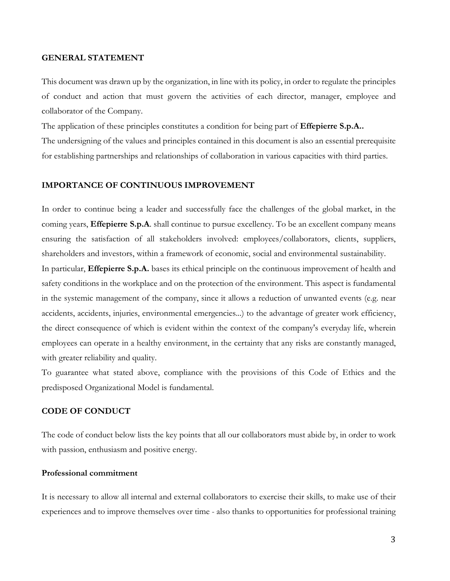#### **GENERAL STATEMENT**

This document was drawn up by the organization, in line with its policy, in order to regulate the principles of conduct and action that must govern the activities of each director, manager, employee and collaborator of the Company.

The application of these principles constitutes a condition for being part of **Effepierre S.p.A..**

The undersigning of the values and principles contained in this document is also an essential prerequisite for establishing partnerships and relationships of collaboration in various capacities with third parties.

#### **IMPORTANCE OF CONTINUOUS IMPROVEMENT**

In order to continue being a leader and successfully face the challenges of the global market, in the coming years, **Effepierre S.p.A**. shall continue to pursue excellency. To be an excellent company means ensuring the satisfaction of all stakeholders involved: employees/collaborators, clients, suppliers, shareholders and investors, within a framework of economic, social and environmental sustainability.

In particular, **Effepierre S.p.A.** bases its ethical principle on the continuous improvement of health and safety conditions in the workplace and on the protection of the environment. This aspect is fundamental in the systemic management of the company, since it allows a reduction of unwanted events (e.g. near accidents, accidents, injuries, environmental emergencies...) to the advantage of greater work efficiency, the direct consequence of which is evident within the context of the company's everyday life, wherein employees can operate in a healthy environment, in the certainty that any risks are constantly managed, with greater reliability and quality.

To guarantee what stated above, compliance with the provisions of this Code of Ethics and the predisposed Organizational Model is fundamental.

#### **CODE OF CONDUCT**

The code of conduct below lists the key points that all our collaborators must abide by, in order to work with passion, enthusiasm and positive energy.

#### **Professional commitment**

It is necessary to allow all internal and external collaborators to exercise their skills, to make use of their experiences and to improve themselves over time - also thanks to opportunities for professional training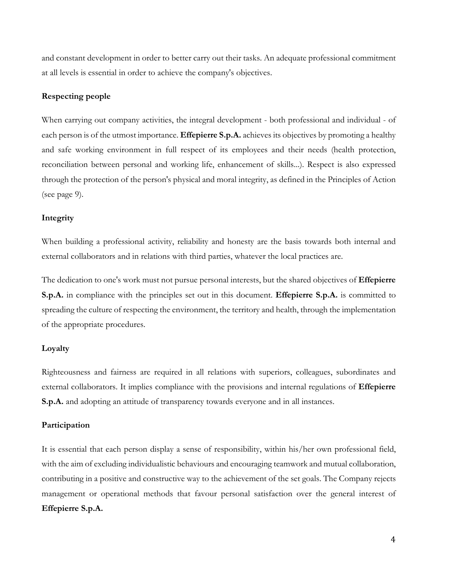and constant development in order to better carry out their tasks. An adequate professional commitment at all levels is essential in order to achieve the company's objectives.

#### **Respecting people**

When carrying out company activities, the integral development - both professional and individual - of each person is of the utmost importance. **Effepierre S.p.A.** achieves its objectives by promoting a healthy and safe working environment in full respect of its employees and their needs (health protection, reconciliation between personal and working life, enhancement of skills...). Respect is also expressed through the protection of the person's physical and moral integrity, as defined in the Principles of Action (see page 9).

#### **Integrity**

When building a professional activity, reliability and honesty are the basis towards both internal and external collaborators and in relations with third parties, whatever the local practices are.

The dedication to one's work must not pursue personal interests, but the shared objectives of **Effepierre S.p.A.** in compliance with the principles set out in this document. **Effepierre S.p.A.** is committed to spreading the culture of respecting the environment, the territory and health, through the implementation of the appropriate procedures.

#### **Loyalty**

Righteousness and fairness are required in all relations with superiors, colleagues, subordinates and external collaborators. It implies compliance with the provisions and internal regulations of **Effepierre S.p.A.** and adopting an attitude of transparency towards everyone and in all instances.

#### **Participation**

It is essential that each person display a sense of responsibility, within his/her own professional field, with the aim of excluding individualistic behaviours and encouraging teamwork and mutual collaboration, contributing in a positive and constructive way to the achievement of the set goals. The Company rejects management or operational methods that favour personal satisfaction over the general interest of **Effepierre S.p.A.**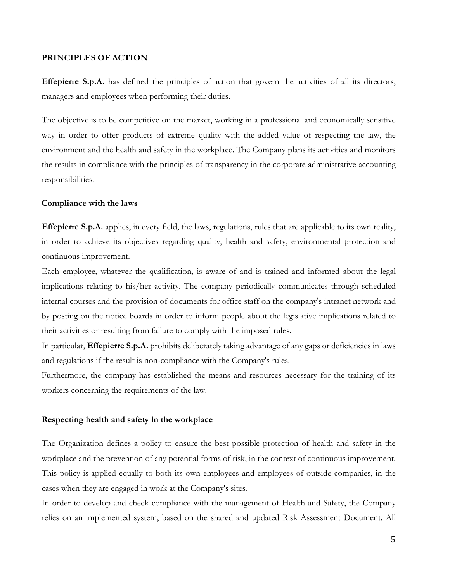#### **PRINCIPLES OF ACTION**

**Effepierre S.p.A.** has defined the principles of action that govern the activities of all its directors, managers and employees when performing their duties.

The objective is to be competitive on the market, working in a professional and economically sensitive way in order to offer products of extreme quality with the added value of respecting the law, the environment and the health and safety in the workplace. The Company plans its activities and monitors the results in compliance with the principles of transparency in the corporate administrative accounting responsibilities.

#### **Compliance with the laws**

**Effepierre S.p.A.** applies, in every field, the laws, regulations, rules that are applicable to its own reality, in order to achieve its objectives regarding quality, health and safety, environmental protection and continuous improvement.

Each employee, whatever the qualification, is aware of and is trained and informed about the legal implications relating to his/her activity. The company periodically communicates through scheduled internal courses and the provision of documents for office staff on the company's intranet network and by posting on the notice boards in order to inform people about the legislative implications related to their activities or resulting from failure to comply with the imposed rules.

In particular, **Effepierre S.p.A.** prohibits deliberately taking advantage of any gaps or deficiencies in laws and regulations if the result is non-compliance with the Company's rules.

Furthermore, the company has established the means and resources necessary for the training of its workers concerning the requirements of the law.

#### **Respecting health and safety in the workplace**

The Organization defines a policy to ensure the best possible protection of health and safety in the workplace and the prevention of any potential forms of risk, in the context of continuous improvement. This policy is applied equally to both its own employees and employees of outside companies, in the cases when they are engaged in work at the Company's sites.

In order to develop and check compliance with the management of Health and Safety, the Company relies on an implemented system, based on the shared and updated Risk Assessment Document. All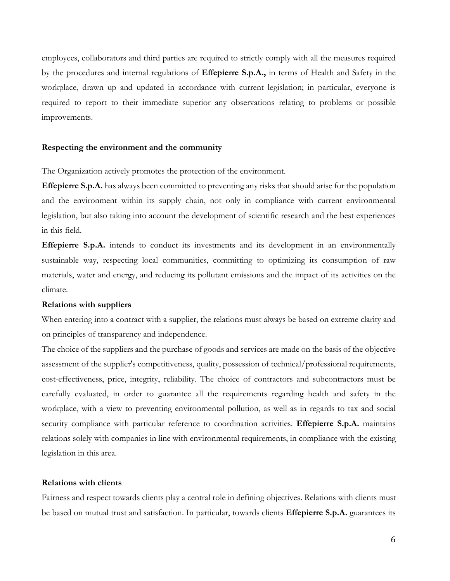employees, collaborators and third parties are required to strictly comply with all the measures required by the procedures and internal regulations of **Effepierre S.p.A.,** in terms of Health and Safety in the workplace, drawn up and updated in accordance with current legislation; in particular, everyone is required to report to their immediate superior any observations relating to problems or possible improvements.

#### **Respecting the environment and the community**

The Organization actively promotes the protection of the environment.

**Effepierre S.p.A.** has always been committed to preventing any risks that should arise for the population and the environment within its supply chain, not only in compliance with current environmental legislation, but also taking into account the development of scientific research and the best experiences in this field.

**Effepierre S.p.A.** intends to conduct its investments and its development in an environmentally sustainable way, respecting local communities, committing to optimizing its consumption of raw materials, water and energy, and reducing its pollutant emissions and the impact of its activities on the climate.

#### **Relations with suppliers**

When entering into a contract with a supplier, the relations must always be based on extreme clarity and on principles of transparency and independence.

The choice of the suppliers and the purchase of goods and services are made on the basis of the objective assessment of the supplier's competitiveness, quality, possession of technical/professional requirements, cost-effectiveness, price, integrity, reliability. The choice of contractors and subcontractors must be carefully evaluated, in order to guarantee all the requirements regarding health and safety in the workplace, with a view to preventing environmental pollution, as well as in regards to tax and social security compliance with particular reference to coordination activities. **Effepierre S.p.A.** maintains relations solely with companies in line with environmental requirements, in compliance with the existing legislation in this area.

#### **Relations with clients**

Fairness and respect towards clients play a central role in defining objectives. Relations with clients must be based on mutual trust and satisfaction. In particular, towards clients **Effepierre S.p.A.** guarantees its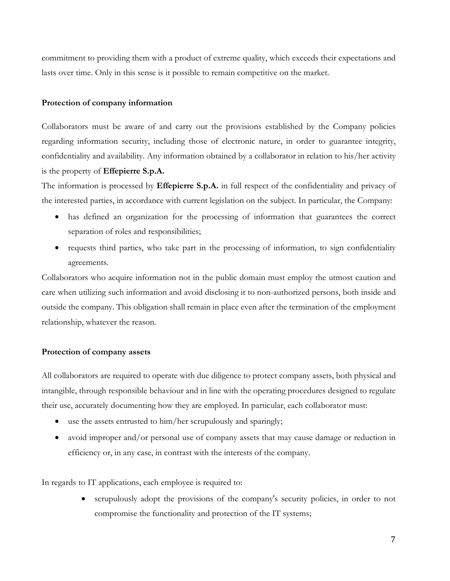commitment to providing them with a product of extreme quality, which exceeds their expectations and lasts over time. Only in this sense is it possible to remain competitive on the market.

#### **Protection of company information**

Collaborators must be aware of and carry out the provisions established by the Company policies regarding information security, including those of electronic nature, in order to guarantee integrity, confidentiality and availability. Any information obtained by a collaborator in relation to his/her activity is the property of **Effepierre S.p.A.** 

The information is processed by **Effepierre S.p.A.** in full respect of the confidentiality and privacy of the interested parties, in accordance with current legislation on the subject. In particular, the Company:

- has defined an organization for the processing of information that guarantees the correct separation of roles and responsibilities;
- requests third parties, who take part in the processing of information, to sign confidentiality agreements.

Collaborators who acquire information not in the public domain must employ the utmost caution and care when utilizing such information and avoid disclosing it to non-authorized persons, both inside and outside the company. This obligation shall remain in place even after the termination of the employment relationship, whatever the reason.

#### **Protection of company assets**

All collaborators are required to operate with due diligence to protect company assets, both physical and intangible, through responsible behaviour and in line with the operating procedures designed to regulate their use, accurately documenting how they are employed. In particular, each collaborator must:

- use the assets entrusted to him/her scrupulously and sparingly;
- avoid improper and/or personal use of company assets that may cause damage or reduction in efficiency or, in any case, in contrast with the interests of the company.

In regards to IT applications, each employee is required to:

• scrupulously adopt the provisions of the company's security policies, in order to not compromise the functionality and protection of the IT systems;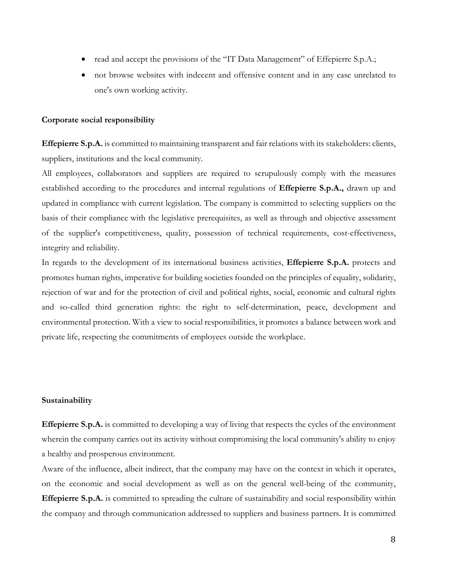- read and accept the provisions of the "IT Data Management" of Effepierre S.p.A.;
- not browse websites with indecent and offensive content and in any case unrelated to one's own working activity.

#### **Corporate social responsibility**

**Effepierre S.p.A.** is committed to maintaining transparent and fair relations with its stakeholders: clients, suppliers, institutions and the local community.

All employees, collaborators and suppliers are required to scrupulously comply with the measures established according to the procedures and internal regulations of **Effepierre S.p.A.,** drawn up and updated in compliance with current legislation. The company is committed to selecting suppliers on the basis of their compliance with the legislative prerequisites, as well as through and objective assessment of the supplier's competitiveness, quality, possession of technical requirements, cost-effectiveness, integrity and reliability.

In regards to the development of its international business activities, **Effepierre S.p.A.** protects and promotes human rights, imperative for building societies founded on the principles of equality, solidarity, rejection of war and for the protection of civil and political rights, social, economic and cultural rights and so-called third generation rights: the right to self-determination, peace, development and environmental protection. With a view to social responsibilities, it promotes a balance between work and private life, respecting the commitments of employees outside the workplace.

#### **Sustainability**

**Effepierre S.p.A.** is committed to developing a way of living that respects the cycles of the environment wherein the company carries out its activity without compromising the local community's ability to enjoy a healthy and prosperous environment.

Aware of the influence, albeit indirect, that the company may have on the context in which it operates, on the economic and social development as well as on the general well-being of the community, **Effepierre S.p.A.** is committed to spreading the culture of sustainability and social responsibility within the company and through communication addressed to suppliers and business partners. It is committed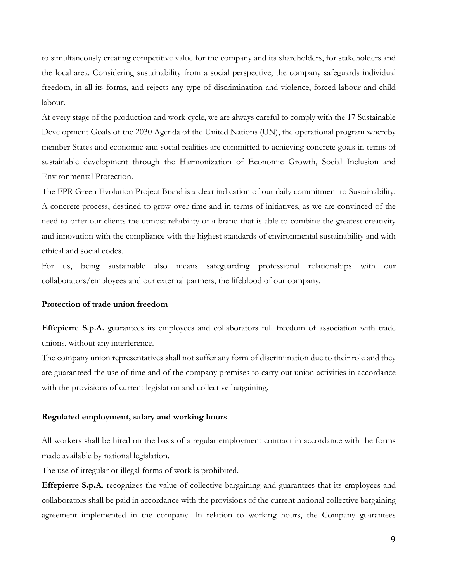to simultaneously creating competitive value for the company and its shareholders, for stakeholders and the local area. Considering sustainability from a social perspective, the company safeguards individual freedom, in all its forms, and rejects any type of discrimination and violence, forced labour and child labour.

At every stage of the production and work cycle, we are always careful to comply with the 17 Sustainable Development Goals of the 2030 Agenda of the United Nations (UN), the operational program whereby member States and economic and social realities are committed to achieving concrete goals in terms of sustainable development through the Harmonization of Economic Growth, Social Inclusion and Environmental Protection.

The FPR Green Evolution Project Brand is a clear indication of our daily commitment to Sustainability. A concrete process, destined to grow over time and in terms of initiatives, as we are convinced of the need to offer our clients the utmost reliability of a brand that is able to combine the greatest creativity and innovation with the compliance with the highest standards of environmental sustainability and with ethical and social codes.

For us, being sustainable also means safeguarding professional relationships with our collaborators/employees and our external partners, the lifeblood of our company.

#### **Protection of trade union freedom**

**Effepierre S.p.A.** guarantees its employees and collaborators full freedom of association with trade unions, without any interference.

The company union representatives shall not suffer any form of discrimination due to their role and they are guaranteed the use of time and of the company premises to carry out union activities in accordance with the provisions of current legislation and collective bargaining.

#### **Regulated employment, salary and working hours**

All workers shall be hired on the basis of a regular employment contract in accordance with the forms made available by national legislation.

The use of irregular or illegal forms of work is prohibited.

**Effepierre S.p.A.** recognizes the value of collective bargaining and guarantees that its employees and collaborators shall be paid in accordance with the provisions of the current national collective bargaining agreement implemented in the company. In relation to working hours, the Company guarantees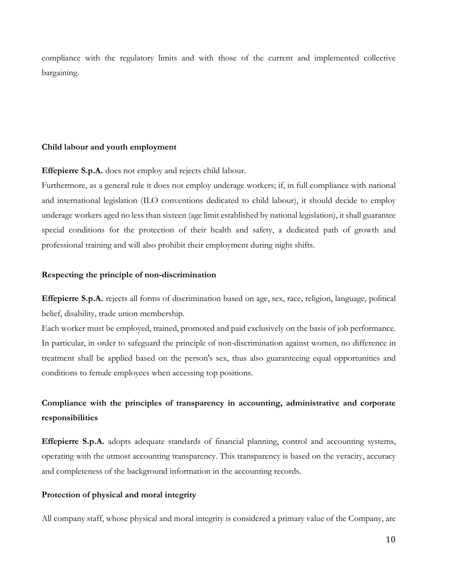compliance with the regulatory limits and with those of the current and implemented collective bargaining.

#### **Child labour and youth employment**

**Effepierre S.p.A.** does not employ and rejects child labour.

Furthermore, as a general rule it does not employ underage workers; if, in full compliance with national and international legislation (ILO conventions dedicated to child labour), it should decide to employ underage workers aged no less than sixteen (age limit established by national legislation), it shall guarantee special conditions for the protection of their health and safety, a dedicated path of growth and professional training and will also prohibit their employment during night shifts.

#### **Respecting the principle of non-discrimination**

**Effepierre S.p.A.** rejects all forms of discrimination based on age, sex, race, religion, language, political belief, disability, trade union membership.

Each worker must be employed, trained, promoted and paid exclusively on the basis of job performance. In particular, in order to safeguard the principle of non-discrimination against women, no difference in treatment shall be applied based on the person's sex, thus also guaranteeing equal opportunities and conditions to female employees when accessing top positions.

# **Compliance with the principles of transparency in accounting, administrative and corporate responsibilities**

**Effepierre S.p.A.** adopts adequate standards of financial planning, control and accounting systems, operating with the utmost accounting transparency. This transparency is based on the veracity, accuracy and completeness of the background information in the accounting records.

#### **Protection of physical and moral integrity**

All company staff, whose physical and moral integrity is considered a primary value of the Company, are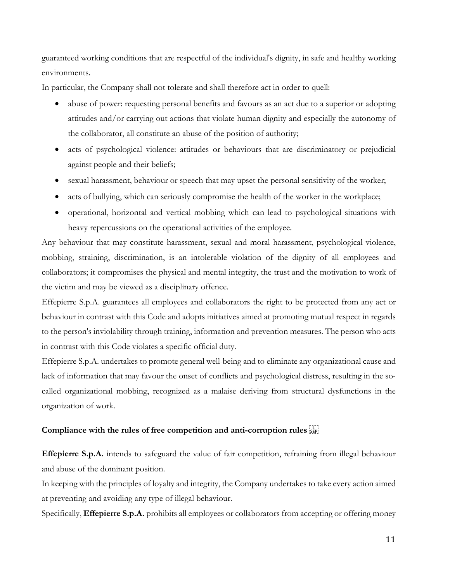guaranteed working conditions that are respectful of the individual's dignity, in safe and healthy working environments.

In particular, the Company shall not tolerate and shall therefore act in order to quell:

- abuse of power: requesting personal benefits and favours as an act due to a superior or adopting attitudes and/or carrying out actions that violate human dignity and especially the autonomy of the collaborator, all constitute an abuse of the position of authority;
- acts of psychological violence: attitudes or behaviours that are discriminatory or prejudicial against people and their beliefs;
- sexual harassment, behaviour or speech that may upset the personal sensitivity of the worker;
- acts of bullying, which can seriously compromise the health of the worker in the workplace;
- operational, horizontal and vertical mobbing which can lead to psychological situations with heavy repercussions on the operational activities of the employee.

Any behaviour that may constitute harassment, sexual and moral harassment, psychological violence, mobbing, straining, discrimination, is an intolerable violation of the dignity of all employees and collaborators; it compromises the physical and mental integrity, the trust and the motivation to work of the victim and may be viewed as a disciplinary offence.

Effepierre S.p.A. guarantees all employees and collaborators the right to be protected from any act or behaviour in contrast with this Code and adopts initiatives aimed at promoting mutual respect in regards to the person's inviolability through training, information and prevention measures. The person who acts in contrast with this Code violates a specific official duty.

Effepierre S.p.A. undertakes to promote general well-being and to eliminate any organizational cause and lack of information that may favour the onset of conflicts and psychological distress, resulting in the socalled organizational mobbing, recognized as a malaise deriving from structural dysfunctions in the organization of work.

# **Compliance with the rules of free competition and anti-corruption rules**

**Effepierre S.p.A.** intends to safeguard the value of fair competition, refraining from illegal behaviour and abuse of the dominant position.

In keeping with the principles of loyalty and integrity, the Company undertakes to take every action aimed at preventing and avoiding any type of illegal behaviour.

Specifically, **Effepierre S.p.A.** prohibits all employees or collaborators from accepting or offering money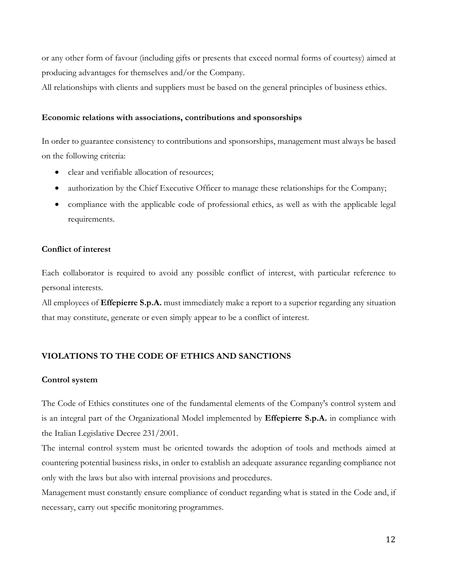or any other form of favour (including gifts or presents that exceed normal forms of courtesy) aimed at producing advantages for themselves and/or the Company.

All relationships with clients and suppliers must be based on the general principles of business ethics.

#### **Economic relations with associations, contributions and sponsorships**

In order to guarantee consistency to contributions and sponsorships, management must always be based on the following criteria:

- clear and verifiable allocation of resources;
- authorization by the Chief Executive Officer to manage these relationships for the Company;
- compliance with the applicable code of professional ethics, as well as with the applicable legal requirements.

# **Conflict of interest**

Each collaborator is required to avoid any possible conflict of interest, with particular reference to personal interests.

All employees of **Effepierre S.p.A.** must immediately make a report to a superior regarding any situation that may constitute, generate or even simply appear to be a conflict of interest.

# **VIOLATIONS TO THE CODE OF ETHICS AND SANCTIONS**

#### **Control system**

The Code of Ethics constitutes one of the fundamental elements of the Company's control system and is an integral part of the Organizational Model implemented by **Effepierre S.p.A.** in compliance with the Italian Legislative Decree 231/2001.

The internal control system must be oriented towards the adoption of tools and methods aimed at countering potential business risks, in order to establish an adequate assurance regarding compliance not only with the laws but also with internal provisions and procedures.

Management must constantly ensure compliance of conduct regarding what is stated in the Code and, if necessary, carry out specific monitoring programmes.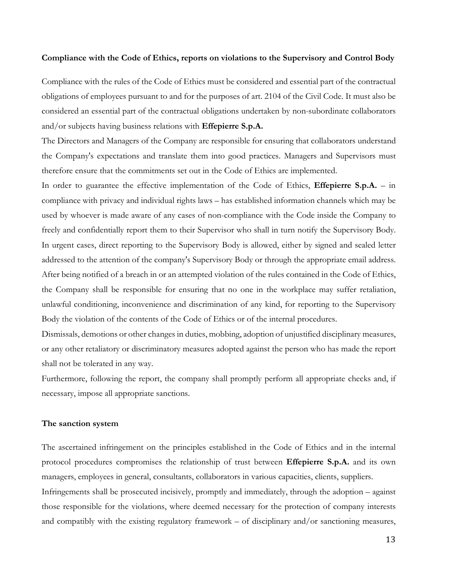#### **Compliance with the Code of Ethics, reports on violations to the Supervisory and Control Body**

Compliance with the rules of the Code of Ethics must be considered and essential part of the contractual obligations of employees pursuant to and for the purposes of art. 2104 of the Civil Code. It must also be considered an essential part of the contractual obligations undertaken by non-subordinate collaborators and/or subjects having business relations with **Effepierre S.p.A.** 

The Directors and Managers of the Company are responsible for ensuring that collaborators understand the Company's expectations and translate them into good practices. Managers and Supervisors must therefore ensure that the commitments set out in the Code of Ethics are implemented.

In order to guarantee the effective implementation of the Code of Ethics, **Effepierre S.p.A.** – in compliance with privacy and individual rights laws – has established information channels which may be used by whoever is made aware of any cases of non-compliance with the Code inside the Company to freely and confidentially report them to their Supervisor who shall in turn notify the Supervisory Body. In urgent cases, direct reporting to the Supervisory Body is allowed, either by signed and sealed letter addressed to the attention of the company's Supervisory Body or through the appropriate email address. After being notified of a breach in or an attempted violation of the rules contained in the Code of Ethics, the Company shall be responsible for ensuring that no one in the workplace may suffer retaliation, unlawful conditioning, inconvenience and discrimination of any kind, for reporting to the Supervisory Body the violation of the contents of the Code of Ethics or of the internal procedures.

Dismissals, demotions or other changes in duties, mobbing, adoption of unjustified disciplinary measures, or any other retaliatory or discriminatory measures adopted against the person who has made the report shall not be tolerated in any way.

Furthermore, following the report, the company shall promptly perform all appropriate checks and, if necessary, impose all appropriate sanctions.

#### **The sanction system**

The ascertained infringement on the principles established in the Code of Ethics and in the internal protocol procedures compromises the relationship of trust between **Effepierre S.p.A.** and its own managers, employees in general, consultants, collaborators in various capacities, clients, suppliers.

Infringements shall be prosecuted incisively, promptly and immediately, through the adoption – against those responsible for the violations, where deemed necessary for the protection of company interests and compatibly with the existing regulatory framework – of disciplinary and/or sanctioning measures,